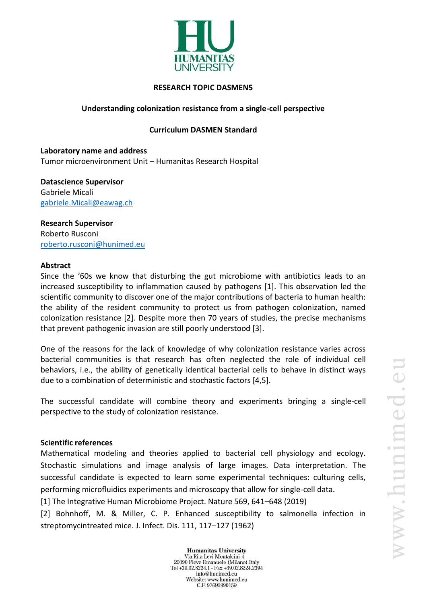

## **RESEARCH TOPIC DASMEN5**

# **Understanding colonization resistance from a single-cell perspective**

#### **Curriculum DASMEN Standard**

**Laboratory name and address** Tumor microenvironment Unit – Humanitas Research Hospital

**Datascience Supervisor** Gabriele Micali gabriele.Micali@eawag.ch

**Research Supervisor** Roberto Rusconi [roberto.rusconi@hunimed.eu](mailto:roberto.rusconi@hunimed.eu)

#### **Abstract**

Since the '60s we know that disturbing the gut microbiome with antibiotics leads to an increased susceptibility to inflammation caused by pathogens [1]. This observation led the scientific community to discover one of the major contributions of bacteria to human health: the ability of the resident community to protect us from pathogen colonization, named colonization resistance [2]. Despite more then 70 years of studies, the precise mechanisms that prevent pathogenic invasion are still poorly understood [3].

One of the reasons for the lack of knowledge of why colonization resistance varies across bacterial communities is that research has often neglected the role of individual cell behaviors, i.e., the ability of genetically identical bacterial cells to behave in distinct ways due to a combination of deterministic and stochastic factors [4,5].

The successful candidate will combine theory and experiments bringing a single-cell perspective to the study of colonization resistance.

## **Scientific references**

Mathematical modeling and theories applied to bacterial cell physiology and ecology. Stochastic simulations and image analysis of large images. Data interpretation. The successful candidate is expected to learn some experimental techniques: culturing cells, performing microfluidics experiments and microscopy that allow for single-cell data.

[1] The Integrative Human Microbiome Project. Nature 569, 641–648 (2019)

[2] Bohnhoff, M. & Miller, C. P. Enhanced susceptibility to salmonella infection in streptomycintreated mice. J. Infect. Dis. 111, 117–127 (1962)

> **Humanitas University** Via Rita Levi Montalcini 4 20090 Pieve Emanuele (Milano) Italy Tel +39.02.8224.1 - Fax +39.02.8224.2394 info@hunimed.eu Website: www.hunimed.eu C.F. 97692990159